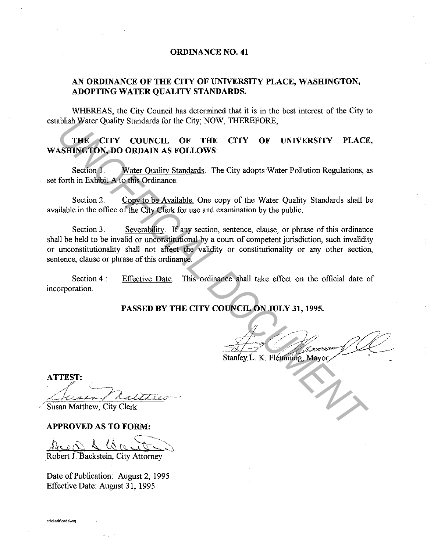### **ORDINANCE NO. 41**

## **AN ORDINANCE OF THE CITY OF UNIVERSITY PLACE, WASHINGTON, ADOPTING WATER QUALITY STANDARDS.**

WHEREAS, the City Council has determined that it is in the best interest of the City to establish Water Quality Standards for the City; NOW, THEREFORE,

**THE CITY COUNCIL OF THE CITY OF UNIVERSITY PLACE, WASHINGTON, DO ORDAIN AS FOLLOWS:** 

Section 1. Water Ouality Standards. The City adopts Water Pollution Regulations, as set forth in Exhibit A to this Ordinance.

Section 2. Copy to be Available. One copy of the Water Quality Standards shall be available in the office of the City Clerk for use and examination by the public.

Section 3. Severability. If any section, sentence, clause, or phrase of this ordinance shall be held to be invalid or unconstitutional by a court of competent jurisdiction, such invalidity or unconstitutionality shall not affect the validity or constitutionality or any other section, sentence, clause or phrase of this ordinance. **THE CITY COUNCIL OF THE CITY OF UNIVERSITY PLACE<br>
SHIMBER CITY COUNCIL OF THE CITY OF UNIVERSITY PLACE<br>
SERIOR DO ORDAIN AS FOLLOWS:**<br>
Section 1. Water Quality Standards. The City adopts Water Pollution Regulations, a<br>
fo

Section 4.: incorporation. Effective Date. This ordinance shall take effect on the official date of

# **PASSED BY THE CITY COUNCIL ON JULY 31, 1995.**

 $\frac{1}{\sqrt{2}}$ 

Stanley'L. K. Flemming, Mayor

**APPROVED AS TO FORM:** 

 $\mathcal{L}$  is the contract of  $\mathcal{L}$ 1400 1 16000 m

Robert J. Backstein, City Attorney

Date of Publication: August 2, 1995 Effective Date: August 31, 1995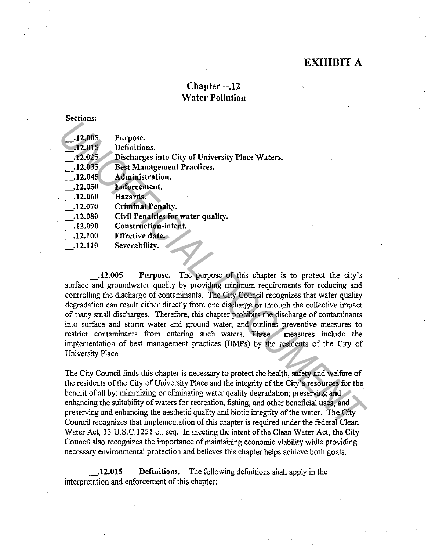# EXHIBIT A

# Chapter --.12 Water Pollution

#### Sections:

| .12.005                                                                                         | Purpose.                                         |
|-------------------------------------------------------------------------------------------------|--------------------------------------------------|
| $-12.015$                                                                                       | Definitions.                                     |
| .12.025                                                                                         | Discharges into City of University Place Waters. |
| .12.035                                                                                         | <b>Best Management Practices.</b>                |
| .12.045                                                                                         | Administration.                                  |
| .12.050                                                                                         | Enforcement.                                     |
| .12.060                                                                                         | Hazards.                                         |
| .12.070                                                                                         | <b>Criminal Penalty.</b>                         |
| $-12.080$                                                                                       | Civil Penalties for water quality.               |
| .12.090                                                                                         | Construction-intent.                             |
| .12.100                                                                                         | Effective date.                                  |
| .12.110                                                                                         | Severability.                                    |
|                                                                                                 |                                                  |
|                                                                                                 |                                                  |
| The purpose of this chapter is to protect the city's<br>.12.005<br>Purpose.                     |                                                  |
| surface and groundwater quality by providing minimum requirements for reducing and              |                                                  |
| controlling the discharge of contaminants. The City Council recognizes that water quality       |                                                  |
| degradation can result either directly from one discharge or through the collective impact      |                                                  |
| of many small discharges. Therefore, this chapter prohibits the discharge of contaminants       |                                                  |
| into surface and storm water and ground water, and outlines preventive measures to              |                                                  |
| restrict contaminants from entering such waters. These<br>measures include the                  |                                                  |
| implementation of best management practices (BMPs) by the residents of the City of              |                                                  |
| University Place.                                                                               |                                                  |
|                                                                                                 |                                                  |
| The City Council finds this chapter is necessary to protect the health, safety and welfare of   |                                                  |
| the residents of the City of University Place and the integrity of the City's resources for the |                                                  |
| benefit of all by: minimizing or eliminating water quality degradation; preserving and          |                                                  |
| enhancing the suitability of waters for recreation, fishing, and other beneficial uses; and     |                                                  |
| preserving and enhancing the aesthetic quality and biotic integrity of the water. The City      |                                                  |
| Council recognizes that implementation of this chapter is required under the federal Clean      |                                                  |

The City Council finds this chapter is necessary to protect the health, safety and welfare of the residents of the City of University Place and the integrity of the City's resources for the benefit of all by: minimizing or eliminating water quality degradation; preserving and enhancing the suitability of waters for recreation, fishing, and other beneficial uses; and preserving and enhancing the aesthetic quality and biotic integrity of the water. The City Council recognizes that implementation of this chapter is required under the federal Clean Water Act, 33 U.S.C.1251 et. seq. In meeting the intent of the Clean Water Act, the City Council also recognizes the importance of maintaining economic viability while providing necessary environmental protection and believes this chapter helps achieve both goals .

. 12.015 Definitions. The following definitions shall apply in the interpretation and enforcement of this chapter: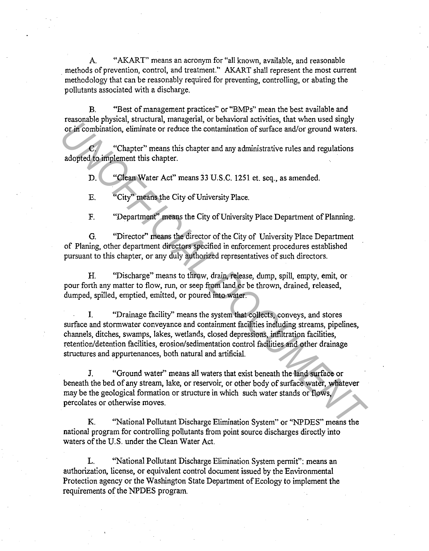"AKART" means an acronym for "all known, available, and reasonable methods of prevention, control, and treatment." AKART shall represent the most current methodology that can be reasonably required for preventing, controlling, or abating the pollutants associated with a discharge.

B. "Best of management practices" or "BMPs" mean the best available and reasonable physical, structural, managerial, or behavioral activities, that when used singly or in combination, eliminate or reduce the contamination of surface and/or ground waters.

"Chapter" means this chapter and any administrative rules and regulations adopted to implement this chapter.

D. "Clean Water Act" means 33 U.S.C. 1251 et. seq., as amended.

E. "City" means the City of University Place.

F. "Department" means the City of University Place Department of Planning.

G. "Director" means the director of the City of University Place Department of Planing, other department directors specified in enforcement procedures established pursuant to this chapter, or any duly authorized representatives of such directors.

H. "Discharge" means to throw, drain, release, dump, spill, empty, emit, or pour forth any matter to flow, run, or seep from land or be thrown, drained, released, dumped, spilled, emptied, emitted, or poured into water.

I. "Drainage facility" means the system that collects, conveys, and stores surface and stormwater conveyance and containment facilities including streams, pipelines, channels, ditches, swamps, lakes, wetlands, closed depressions, infiltration facilities, retention/detention facilities, erosion/sedimentation control facilities and other drainage structures and appurtenances, both natural and artificial. **UNITERATIVE THEORY THEORY CONSULT AND CONSULTERATIVE CONSULTERATIVE CONDITION OF THE CONDITION (CONSULTERATIVE)**<br> **UNITERATIVE CONSULTERATIVE CONSULTERATIVE CONSULTERATIVE CONSULTERATIVE CONSULTERATIVE CONSULTERATIVE CON** 

J. "Ground water" means all waters that exist beneath the land surface or beneath the bed of any stream, lake, or reservoir, or other body of surface water, whatever may be the geological formation or structure in which such water stands or flows, percolates or otherwise moves.

K. "National Pollutant Discharge Elimination System" or "NPDES" means the national program for controlling pollutants from point source discharges directly into waters of the U.S. under the Clean Water Act.

L. "National Pollutant Discharge Elimination System permit": means an authorization, license, or equivalent control document issued by the Environmental Protection agency or the Washington State Department of Ecology to implement the requirements of the NPDES program.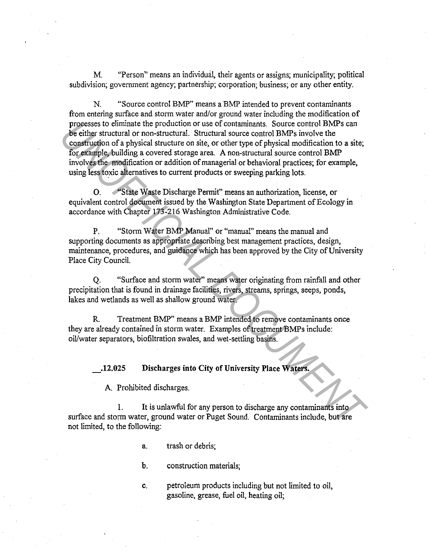M. "Person" means an individual, their agents or assigns; municipality; political subdivision; government agency; partnership; corporation; business; or any other entity.

N. "Source control BMP" means a BMP intended to prevent contaminants from entering surface and storm water and/or ground water including the modification of processes to eliminate the production or use of contaminants. Source control BMPs can be either structural or non-structural. Structural source control BMPs involve the construction of a physical structure on site, or other type of physical modification to a site; for example, building a covered storage area. A non-structural source control BMP involves the modification or addition of managerial or behavioral practices; for example, using less toxic alternatives to current products or sweeping parking lots. **Processes to eliminate the production or use of contaminants. Source control BMPs can constructed or non-structural Structural source control BMPs is volve the construction of a physical structure on site, or other type o** 

0. "State Waste Discharge Permit" means an authorization, license, or equivalent control document issued by the Washington State Department of Ecology in accordance with Chapter 173-216 Washington Administrative Code.

P. "Storm Water BMP Manual" or "manual" means the manual and supporting documents as appropriate describing best management practices, design, maintenance, procedures, and guidance which has been approved by the City of University Place City Council.

Q. "Surface and storm water" means water originating from rainfall and other precipitation that is found in drainage facilities, rivers, streams, springs, seeps, ponds, lakes and wetlands as well as shallow ground water.

R. Treatment BMP" means a BMP intended to remove contaminants once they are already contained in storm water. Examples of treatment BMPs include: oil/water separators, biofiltration swales, and wet-settling basins.

\_.12.025 Discharges into City of University Place Waters.

A. Prohibited discharges.

1. It is unlawful for any person to discharge any contaminants into surface and storm water, ground water or Puget Sound. Contaminants include, but are not limited, to the following:

a. trash or debris;

b. construction materials;

c. petroleum products including but not limited to oil, gasoline, grease, fuel oil, heating oil;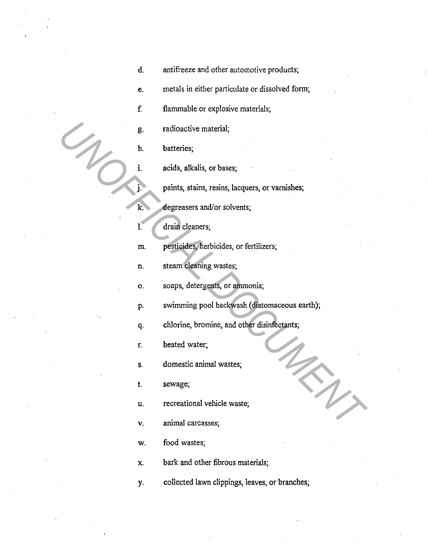- d. antifreeze and other automotive products;
- e. metals in either particulate or dissolved form;

f. flammable or explosive materials;

g. radioactive material;

h. batteries;

i. acids, alkalis, or bases;

j. paints, stains, resins, lacquers, or varnishes;

k. degreasers and/or solvents;

1. drain cleaners;

m. pesticides, herbicides, or fertilizers;

n. steam cleaning wastes;

o. soaps, detergents, or ammonia;

p. swimming pool backwash (diatomaceous earth); **Example 18 Exploration Containers**<br> **Example 18 Exceptionary and Solution**<br> **Example 18 Exceptions Containers**<br> **Examplementary and Solutions Containers**<br> **Examplementary and Solutions Containers**<br> **Examplementary and Sol** 

q. chlorine, bromine, and other disinfectants;

r. heated water;

s. domestic animal wastes;

t. sewage;

u. recreational vehicle waste;

v. animal carcasses;

w. food wastes;

x. bark and other fibrous materials;

y. collected lawn clippings, leaves, or branches;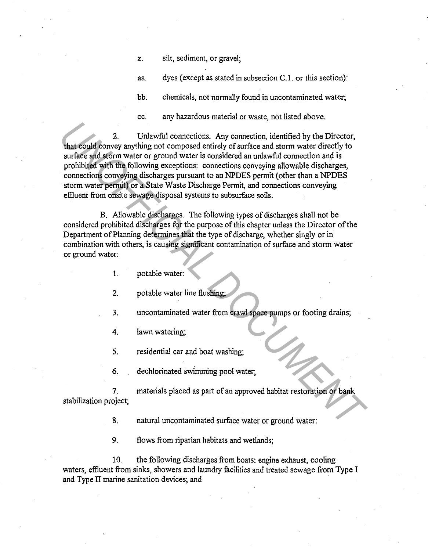z. silt, sediment, or gravel;

aa. dyes (except as stated in subsection C.1. or this section):

bb. chemicals, not normally found in uncontaminated water;

cc. any hazardous material or waste, not listed above.

2. Unlawful connections. Any connection, identified by the Director, that could convey anything not composed entirely of surface and storm water directly to surface and storm water or ground water is considered an unlawful connection and is prohibited with the following exceptions: connections conveying allowable discharges, connections conveying discharges pursuant to an NPDES permit (other than a NPDES storm water permit) or a State Waste Discharge Permit, and connections conveying effluent from onsite sewage disposal systems to subsurface soils. 2. Unlawful connections. Any connection, identified by the Director,<br>that could convey anything not composed entirely of surface and storm water directly to<br>surface and storm water directly to<br>probibited with the following

B. Allowable discharges. The following types of discharges shall not be considered prohibited discharges for the purpose of this chapter unless the Director of the Department of Planning determines that the type of discharge, whether singly or in combination with others, is causing significant contamination of surface and storm water or ground water:

- I. potable water:
- 2. potable water line flushing;
- 3. uncontaminated water from crawl space pumps or footing drains;
- 4. lawn watering;
- 5. residential car and boat washing;
- 6. dechlorinated swimming pool water;

7. materials placed as part of an approved habitat restoration or bank stabilization project;

8. natural uncontaminated surface water or ground water:

9. flows from riparian habitats and wetlands;

10. the following discharges from boats: engine exhaust, cooling waters, effluent from sinks, showers and laundry facilities and treated sewage from Type I and Type II marine sanitation devices; and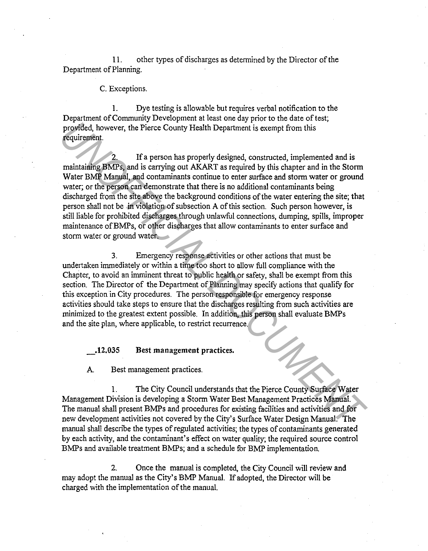11. other types of discharges as determined by the Director of the Department of Planning.

#### C. Exceptions.

1. Dye testing is allowable but requires verbal notification to the Department of Community Development at least one day prior to the date of test; provided, however, the Pierce County Health Department is exempt from this requirement.

If a person has properly designed, constructed, implemented and is maintaining BMPs, and is carrying out AKART as required by this chapter and in the Storm Water BMP Manual, and contaminants continue to enter surface and storm water or ground water; or the person can demonstrate that there is no additional contaminants being discharged from the site above the background conditions of the water entering the site; that person shall not be in violation of subsection A of this section. Such person however, is still liable for prohibited discharges through unlawful connections, dumping, spills, improper maintenance of BMPs, or other discharges that allow contaminants to enter surface and storm water or ground water. **Provided, however, the Pierce County Health Department is exempt from this<br>
<b>Provided, however, the Pierce County Health Department is exempt from this<br>
requirement.**<br> **IVAPs, and is carrying out AKART as required by this** 

3. Emergency response activities or other actions that must be undertaken immediately or within a time too short to allow full compliance with the Chapter, to avoid an imminent threat to public health or safety, shall be exempt from this section. The Director of the Department of Planning may specify actions that qualify for this exception in City procedures. The person responsible for emergency response activities should take steps to ensure that the discharges resulting from such activities are minimized to the greatest extent possible. In addition, this person shall evaluate BMPs and the site plan, where applicable, to restrict recurrence.

### \_.12.035 Best management practices.

A. Best management practices.

1. The City Council understands that the Pierce County Surface Water Management Division is developing a Storm Water Best Management Practices Manual. The manual shall present BMPs and procedures for existing facilities and activities and for new development activities not covered by the City's Surface Water Design Manual. The manual shall describe the types of regulated activities; the types of contaminants generated by each activity, and the contaminant's effect on water quality; the required source control BMPs and available treatment BMPs; and a schedule for BMP implementation.

2. Once the manual is completed, the City Council will review and may adopt the manual as the City's BMP Manual. If adopted, the Director will be charged with the implementation of the manual.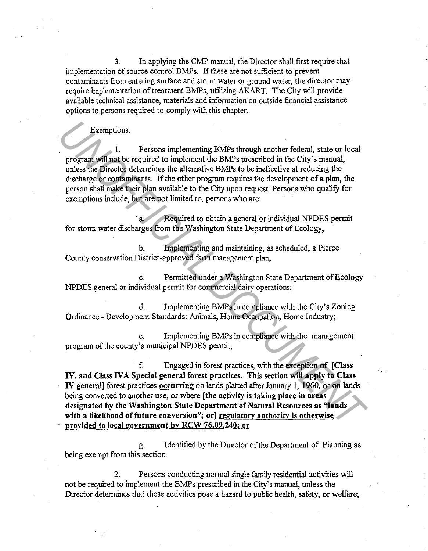3. In applying the CMP manual, the Director shall first require that implementation of source control BMPs. If these are not sufficient to prevent contaminants from entering surface and storm water or ground water, the director may require implementation of treatment BMPs, utilizing AKART. The City will provide available technical assistance, materials and information on outside financial assistance options to persons required to comply with this chapter.

## Exemptions.

1. Persons implementing BMPs through another federal, state or local program will not be required to implement the BMPs prescribed in the City's manual, unless the Director determines the alternative BMPs to be ineffective at reducing the discharge or contaminants. If the other program requires the development of a plan, the person shall make their plan available to the City upon request. Persons who qualify for exemptions include, but are not limited to, persons who are:

Required to obtain a general or individual NPDES permit for storm water discharges from the Washington State Department of Ecology;

b. Implementing and maintaining, as scheduled, a Pierce County conservation District-approved farm management plan;

c. Permitted under a Washington State Department of Ecology NPDES general or individual permit for commercial dairy operations;

d. Implementing BMPs in compliance with the City's Zoning Ordinance - Development Standards: Animals, Home Occupation, Home Industry;

e. Implementing BMPs in compliance with the management program of the county's municipal NPDES permit;

f Engaged in forest practices, with the exception of [Class IV, and Class IVA Special general forest practices. This section will apply to Class IV general] forest practices occurring on lands platted after January 1, 1960, or on lands being converted to another use, or where [the activity is taking place in areas designated by the Washington State Department of Natural Resources as "lands with a likelihood of future conversion"; or] regulatory authority is otherwise provided to local government bv RCW 76.09.240: or **Exemptions.**<br> **INFRECTION TO A DETENT INTEREF (SECUTE ANCE AND FORTIFY AT THE USE THE USE AND FORTABLY AND FRESP (SECUTE AND FRESP INCRETED AND THE SUPPOSE OF THE SUPPOSE OF THE SUPPOSE THE SUPPOSE OF THE PROPERT INTERET** 

g. Identified by the Director of the Department of Planning as being exempt from this section.

2. Persons conducting normal single family residential activities will not be required to implement the BMPs prescribed in the City's manual, unless the Director determines that these activities pose a hazard to public health, safety, or welfare;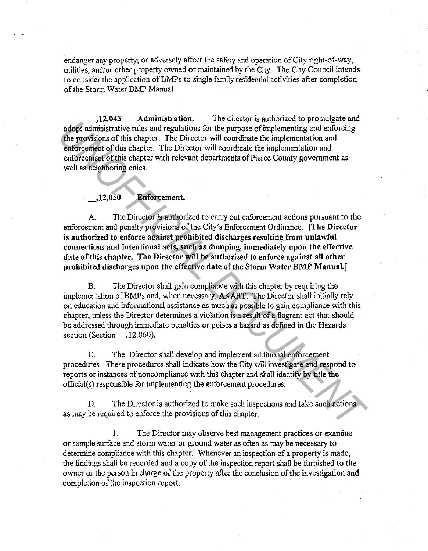endanger any property; or adversely affect the safety and operation of City right-of-way, utilities, and/or other property owned or maintained by the City. The City Council intends to consider the application of BMPs to single family residential activities after completion of the Storm Water BMP Manual

\_.12.045 Administration. The director is authorized to promulgate and adopt administrative rules and regulations for the purpose of implementing and enforcing the provisions of this chapter. The Director will coordinate the implementation and enforcement of this chapter. The Director will coordinate the implementation and enforcement of this chapter with relevant departments of Pierce County government as well as neighboring cities.

## \_.12.050 Enforcement.

A. The Director is authorized to carry out enforcement actions pursuant to the enforcement and penalty provisions of the City's Enforcement Ordinance. [The Director is authorized to enforce against prohibited discharges resulting from unlawful connections and intentional acts, such as dumping, immediately upon the effective date of this chapter. The Director will be authorized to enforce against all other prohibited discharges upon the effective date of the Storm Water BMP Manual.] **Example 11 (2000)**<br>**Example and the strate of the strate of the purpose of implementing and enforcing<br>the propositions of this chapter. The Director will coordinate the implementation and<br>enforcement of this chapter. The** 

B. The Director shall gain compliance with this chapter by requiring the implementation ofBMPs and, when necessary, AK.ART. The Director shall initially rely on education and informational assistance as much as possible to gain compliance with this chapter, unless the Director determines a violation is a result of a flagrant act that should be addressed through immediate penalties or poises a hazard as defined in the Hazards section (Section .12.060).

C. The Director shall develop and implement additional enforcement procedures. These procedures shall indicate how the City will investigate and respond to reports or instances of noncompliance with this chapter and shall identify by title the official(s) responsible for implementing the enforcement procedures.

D. The Director is authorized to make such inspections and take such actions as may be required to enforce the provisions of this chapter.

1. The Director may observe best management practices or examine or sample surface and storm water or ground water as often as may be necessary to determine compliance with this chapter. Whenever an inspection of a property is made, the findings shall be recorded and a copy of the inspection report shall be furnished to the owner or the person in charge of the property after the conclusion of the investigation and completion of the inspection report.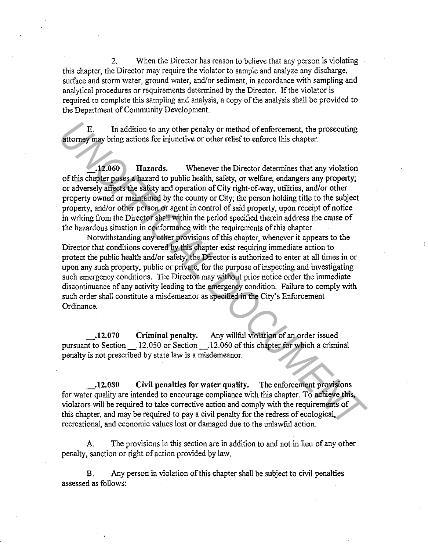2. When the Director has reason to believe that any person is violating this chapter, the Director may require the violator to sample and analyze any discharge, surface and storm water, ground water, and/or sediment, in accordance with sampling and analytical procedures or requirements determined by the Director. If the violator is required to complete this sampling and analysis, a copy of the analysis shall be provided to the Department of Community Development.

E. In addition to any other penalty or method of enforcement, the prosecuting attorney may bring actions for injunctive or other relief to enforce this chapter .

• 12.060 Hazards. Whenever the Director determines that any violation of this chapter poses a hazard to public health, safety, or welfare; endangers any property; or adversely affects the safety and operation of City right-of-way, utilities, and/or other property owned or maintained by the county or City; the person holding title to the subject property, and/or other person or agent in control of said property, upon receipt of notice in writing from the Director shall within the period specified therein address the cause of the hazardous situation in conformance with the requirements of this chapter.

Notwithstanding any other provisions of this chapter, whenever it appears to the Director that conditions covered by this chapter exist requiring immediate action to protect the public health and/or safety, the Director is authorized to enter at all times in or upon any such property, public or private, for the purpose of inspecting and investigating such emergency conditions. The Director may without prior notice order the immediate discontinuance of any activity leading to the emergency condition. Failure to comply with such order shall constitute a misdemeanor as specified in the City's Enforcement Ordinance. **Example 1** In addition to any other penalty or method of enforcement, the prosecuting<br>**2006 UNARCOCUMENT INTERENT CONSULTER CONSULTER** (the solution of this chapter posses a lazard to public health, safety, or welfare,

\_.12.070 Criminal penalty. Any willful violation of an order issued pursuant to Section \_.12.050 or Section \_.12.060 of this chapter for which a criminal penalty is not prescribed by state law is a misdemeanor.

\_.12.080 Civil penalties for water quality. The enforcement provisions for water quality are intended to encourage compliance with this chapter. To achieve this, violators will be required to take corrective action and comply with the requirements of this chapter, and may be required to pay a civil penalty for the redress of ecological, recreational, and economic values lost or damaged due to the unlawful action.

A. The provisions in this section are in addition to and not in lieu of any other penalty, sanction or right of action provided by law.

B. Any person in violation of this chapter shall be subject to civil penalties assessed as follows: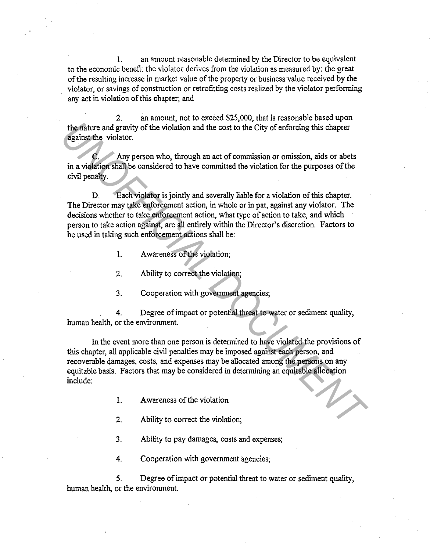1. an amount reasonable determined by the Director to be equivalent to the economic benefit the violator derives from the violation as measured by: the great of the resulting increase in market value of the property or business value received by the violator, or savings of construction or retrofitting costs realized by the violator performing any act in violation of this chapter; and

2. an amount, not to exceed \$25,000, that is reasonable based upon the nature and gravity of the violation and the cost to the City of enforcing this chapter against the violator.

Any person who, through an act of commission or omission, aids or abets in a violation shall be considered to have committed the violation for the purposes of the civil penalty.

D. Each violator is jointly and severally liable for a violation of this chapter. The Director may take enforcement action, in whole or in pat, against any violator. The decisions whether to take enforcement action, what type of action to take, and which person to take action against, are all entirely within the Director's discretion. Factors to be used in taking such enforcement actions shall be:

- I. Awareness of the violation;
- 2. Ability to correct the violation;
- 3. Cooperation with government agencies;

4. Degree of impact or potential threat to water or sediment quality, human health, or the environment.

In the event more than one person is determined to have violated the provisions of this chapter, all applicable civil penalties may be imposed against each person, and recoverable damages, costs, and expenses may be allocated among the persons on any equitable basis. Factors that may be considered in determining an equitable allocation include: **Example 18 and 18 and 18 and 18 and 18 and 18 and 18 and 18 and 18 and 18 and 18 and 18 and 18 and 18 and 18 and 18 and 18 and 18 and 18 and 18 and 18 and 18 and 18 and 18 and 18 and 18 and 18 and 18 and 18 and 18 and 18** 

- 1. Awareness of the violation
- 2. Ability to correct the violation;
- 3. Ability to pay damages, costs and expenses;
- 4. Cooperation with government agencies;

5. Degree of impact or potential threat to water or sediment quality, human health, or the environment.